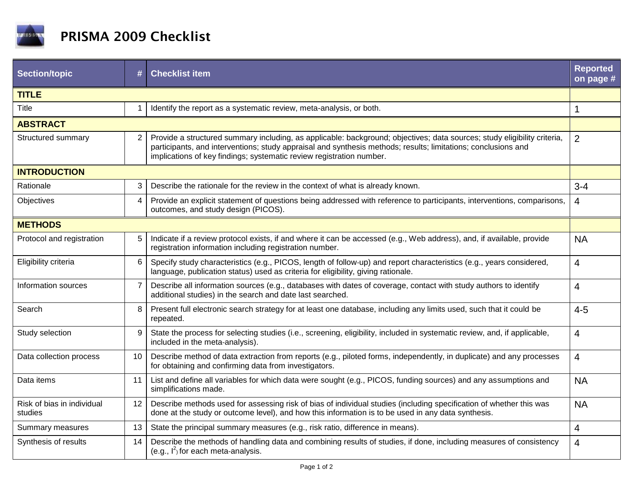

| <b>Section/topic</b>                  | #              | <b>Checklist item</b>                                                                                                                                                                                                                                                                                             | <b>Reported</b><br>on page # |  |
|---------------------------------------|----------------|-------------------------------------------------------------------------------------------------------------------------------------------------------------------------------------------------------------------------------------------------------------------------------------------------------------------|------------------------------|--|
| <b>TITLE</b>                          |                |                                                                                                                                                                                                                                                                                                                   |                              |  |
| Title                                 | 1              | Identify the report as a systematic review, meta-analysis, or both.                                                                                                                                                                                                                                               | $\mathbf 1$                  |  |
| <b>ABSTRACT</b>                       |                |                                                                                                                                                                                                                                                                                                                   |                              |  |
| Structured summary                    | 2              | Provide a structured summary including, as applicable: background; objectives; data sources; study eligibility criteria,<br>participants, and interventions; study appraisal and synthesis methods; results; limitations; conclusions and<br>implications of key findings; systematic review registration number. | $\overline{2}$               |  |
| <b>INTRODUCTION</b>                   |                |                                                                                                                                                                                                                                                                                                                   |                              |  |
| Rationale                             | 3              | Describe the rationale for the review in the context of what is already known.                                                                                                                                                                                                                                    | $3 - 4$                      |  |
| Objectives                            | $\overline{4}$ | Provide an explicit statement of questions being addressed with reference to participants, interventions, comparisons,<br>outcomes, and study design (PICOS).                                                                                                                                                     | $\overline{4}$               |  |
| <b>METHODS</b>                        |                |                                                                                                                                                                                                                                                                                                                   |                              |  |
| Protocol and registration             | 5              | Indicate if a review protocol exists, if and where it can be accessed (e.g., Web address), and, if available, provide<br>registration information including registration number.                                                                                                                                  | <b>NA</b>                    |  |
| Eligibility criteria                  | 6              | Specify study characteristics (e.g., PICOS, length of follow-up) and report characteristics (e.g., years considered,<br>language, publication status) used as criteria for eligibility, giving rationale.                                                                                                         | $\overline{4}$               |  |
| Information sources                   | $\overline{7}$ | Describe all information sources (e.g., databases with dates of coverage, contact with study authors to identify<br>additional studies) in the search and date last searched.                                                                                                                                     | $\overline{4}$               |  |
| Search                                | 8              | Present full electronic search strategy for at least one database, including any limits used, such that it could be<br>repeated.                                                                                                                                                                                  | $4 - 5$                      |  |
| Study selection                       | 9              | State the process for selecting studies (i.e., screening, eligibility, included in systematic review, and, if applicable,<br>included in the meta-analysis).                                                                                                                                                      | 4                            |  |
| Data collection process               | 10             | Describe method of data extraction from reports (e.g., piloted forms, independently, in duplicate) and any processes<br>for obtaining and confirming data from investigators.                                                                                                                                     | $\overline{4}$               |  |
| Data items                            | 11             | List and define all variables for which data were sought (e.g., PICOS, funding sources) and any assumptions and<br>simplifications made.                                                                                                                                                                          | <b>NA</b>                    |  |
| Risk of bias in individual<br>studies | 12             | Describe methods used for assessing risk of bias of individual studies (including specification of whether this was<br>done at the study or outcome level), and how this information is to be used in any data synthesis.                                                                                         | <b>NA</b>                    |  |
| Summary measures                      | 13             | State the principal summary measures (e.g., risk ratio, difference in means).                                                                                                                                                                                                                                     | 4                            |  |
| Synthesis of results                  | 14             | Describe the methods of handling data and combining results of studies, if done, including measures of consistency<br>(e.g., $I^2$ ) for each meta-analysis.                                                                                                                                                      | $\overline{4}$               |  |